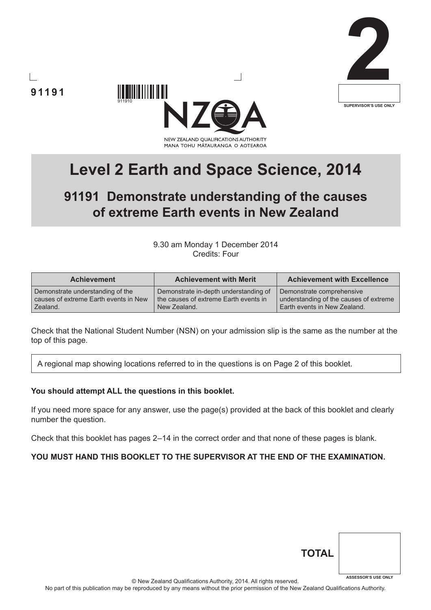



**91191**



# **91191 Demonstrate understanding of the causes of extreme Earth events in New Zealand**

9.30 am Monday 1 December 2014 Credits: Four

| <b>Achievement</b>                    | <b>Achievement with Merit</b>         | <b>Achievement with Excellence</b>     |
|---------------------------------------|---------------------------------------|----------------------------------------|
| Demonstrate understanding of the      | Demonstrate in-depth understanding of | Demonstrate comprehensive              |
| causes of extreme Earth events in New | the causes of extreme Earth events in | understanding of the causes of extreme |
| Zealand.                              | New Zealand.                          | Earth events in New Zealand.           |

Check that the National Student Number (NSN) on your admission slip is the same as the number at the top of this page.

A regional map showing locations referred to in the questions is on Page 2 of this booklet.

#### **You should attempt ALL the questions in this booklet.**

If you need more space for any answer, use the page(s) provided at the back of this booklet and clearly number the question.

Check that this booklet has pages 2–14 in the correct order and that none of these pages is blank.

## **YOU MUST HAND THIS BOOKLET TO THE SUPERVISOR AT THE END OF THE EXAMINATION.**

| <b>TOTAL</b> |                            |
|--------------|----------------------------|
|              | <b>ASSESSOR'S USE ONLY</b> |

© New Zealand Qualifications Authority, 2014. All rights reserved.

No part of this publication may be reproduced by any means without the prior permission of the New Zealand Qualifications Authority.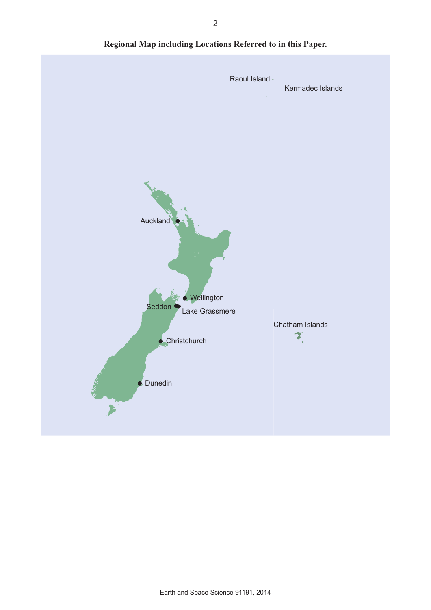

**Regional Map including Locations Referred to in this Paper.**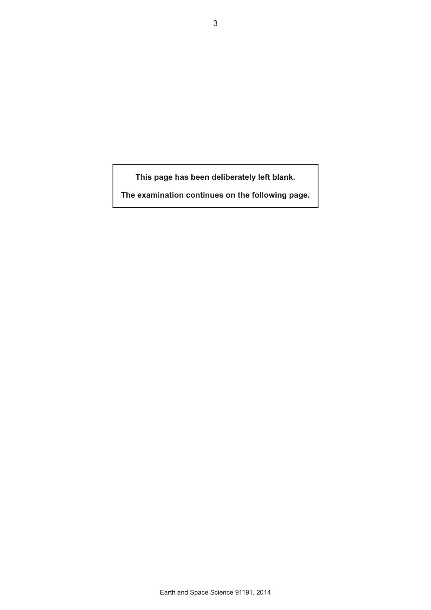**This page has been deliberately left blank.**

**The examination continues on the following page.**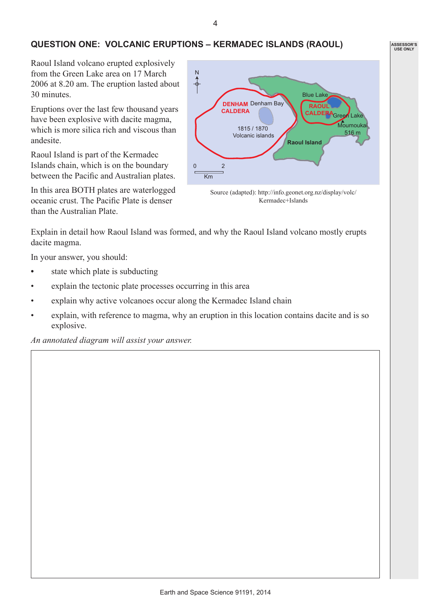## **QUESTION ONE: VOLCANIC ERUPTIONS – KERMADEC ISLANDS (RAOUL)**

Raoul Island volcano erupted explosively from the Green Lake area on 17 March 2006 at 8.20 am. The eruption lasted about 30 minutes.

Eruptions over the last few thousand years have been explosive with dacite magma, which is more silica rich and viscous than andesite.

Raoul Island is part of the Kermadec Islands chain, which is on the boundary between the Pacific and Australian plates.

In this area BOTH plates are waterlogged oceanic crust. The Pacific Plate is denser than the Australian Plate.



Kermadec+Islands

Explain in detail how Raoul Island was formed, and why the Raoul Island volcano mostly erupts dacite magma.

In your answer, you should:

- state which plate is subducting
- explain the tectonic plate processes occurring in this area
- explain why active volcanoes occur along the Kermadec Island chain
- explain, with reference to magma, why an eruption in this location contains dacite and is so explosive.

*An annotated diagram will assist your answer.*

**ASSESSOR'S USE ONLY**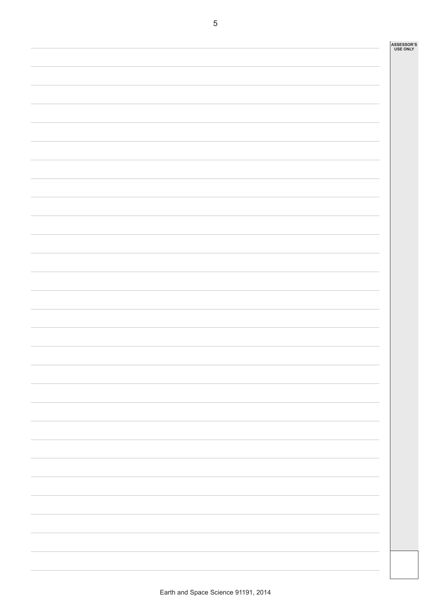| ASSESSOR'S<br>USE ONLY |
|------------------------|
|                        |
|                        |
|                        |
|                        |
|                        |
|                        |
|                        |
|                        |
|                        |
|                        |
|                        |
|                        |
|                        |
|                        |
|                        |
|                        |
|                        |
|                        |
|                        |
|                        |
|                        |
|                        |
|                        |
|                        |
|                        |
|                        |
|                        |
|                        |
|                        |
|                        |
|                        |
|                        |
|                        |
|                        |
|                        |
|                        |
|                        |
|                        |
|                        |
|                        |
|                        |
|                        |
|                        |
|                        |
|                        |
|                        |
|                        |
|                        |
|                        |
|                        |
|                        |
|                        |
|                        |
|                        |
|                        |

J.

i.

i.

L

i.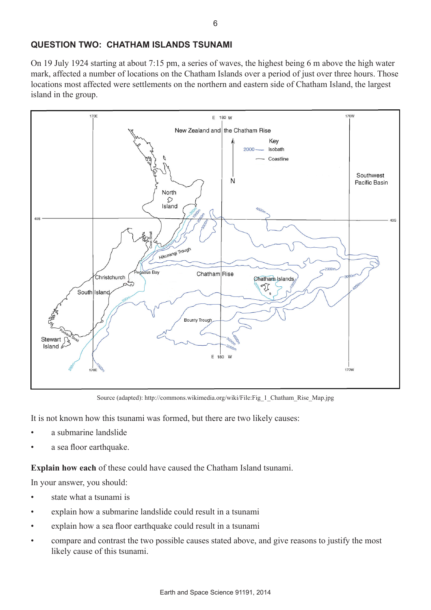## **QUESTION TWO: CHATHAM ISLANDS TSUNAMI**

On 19 July 1924 starting at about 7:15 pm, a series of waves, the highest being 6 m above the high water mark, affected a number of locations on the Chatham Islands over a period of just over three hours. Those locations most affected were settlements on the northern and eastern side of Chatham Island, the largest island in the group.



Source (adapted): http://commons.wikimedia.org/wiki/File:Fig\_1\_Chatham\_Rise\_Map.jpg

It is not known how this tsunami was formed, but there are two likely causes:

- a submarine landslide
- a sea floor earthquake.

**Explain how each** of these could have caused the Chatham Island tsunami.

In your answer, you should:

- state what a tsunami is
- explain how a submarine landslide could result in a tsunami
- explain how a sea floor earthquake could result in a tsunami
- compare and contrast the two possible causes stated above, and give reasons to justify the most likely cause of this tsunami.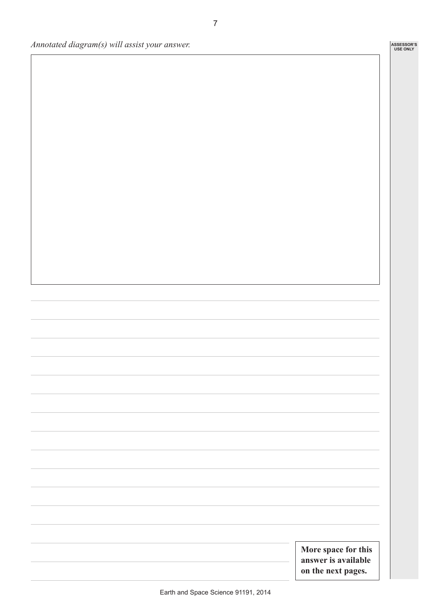*Annotated diagram(s) will assist your answer.*

**More space for this answer is available on the next pages.**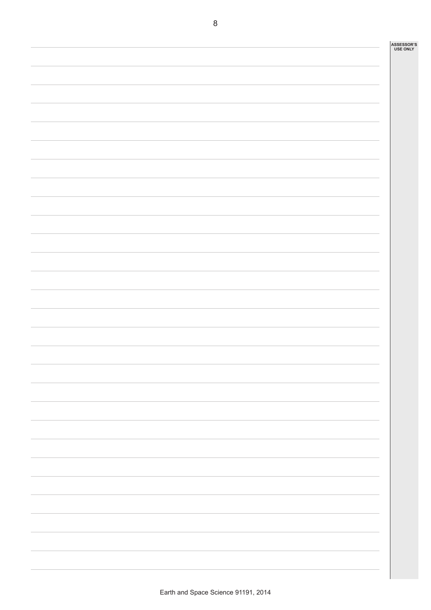| ASSESSOR'S<br>USE ONLY |
|------------------------|
|                        |
|                        |
|                        |
|                        |
|                        |
|                        |
|                        |
|                        |
|                        |
|                        |
|                        |
|                        |
|                        |
|                        |
|                        |
|                        |
|                        |
|                        |
|                        |
|                        |
|                        |
|                        |
|                        |
|                        |
|                        |
|                        |
|                        |
|                        |
|                        |
|                        |
|                        |
|                        |
|                        |
|                        |
|                        |
|                        |
|                        |
|                        |
|                        |
|                        |
|                        |
|                        |
|                        |
|                        |
|                        |
|                        |
|                        |
|                        |
|                        |
|                        |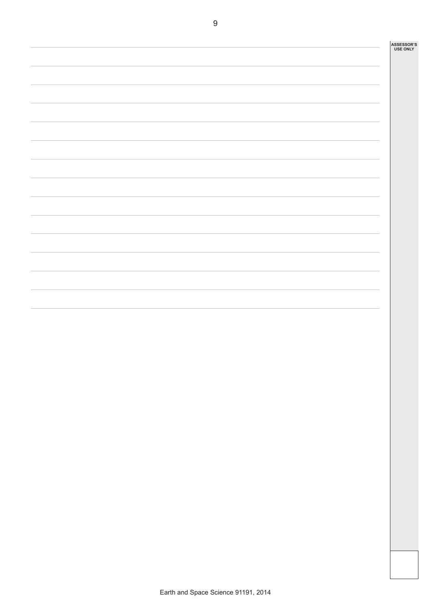**ASSESSOR'S USE ONLY**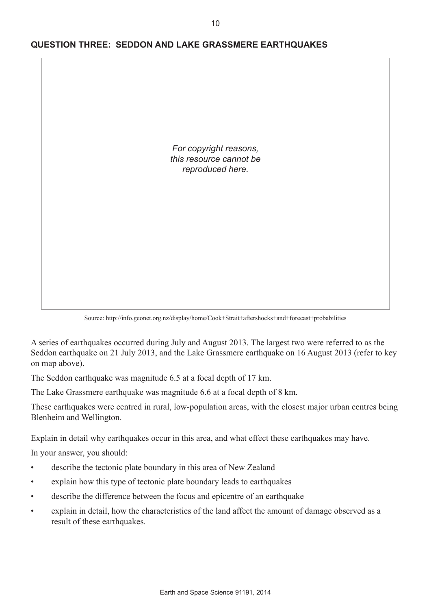

## **QUESTION THREE: SEDDON AND LAKE GRASSMERE EARTHQUAKES**

Source: http://info.geonet.org.nz/display/home/Cook+Strait+aftershocks+and+forecast+probabilities

A series of earthquakes occurred during July and August 2013. The largest two were referred to as the Seddon earthquake on 21 July 2013, and the Lake Grassmere earthquake on 16 August 2013 (refer to key on map above).

The Seddon earthquake was magnitude 6.5 at a focal depth of 17 km.

The Lake Grassmere earthquake was magnitude 6.6 at a focal depth of 8 km.

These earthquakes were centred in rural, low-population areas, with the closest major urban centres being Blenheim and Wellington.

Explain in detail why earthquakes occur in this area, and what effect these earthquakes may have.

In your answer, you should:

- describe the tectonic plate boundary in this area of New Zealand
- explain how this type of tectonic plate boundary leads to earthquakes
- describe the difference between the focus and epicentre of an earthquake
- explain in detail, how the characteristics of the land affect the amount of damage observed as a result of these earthquakes.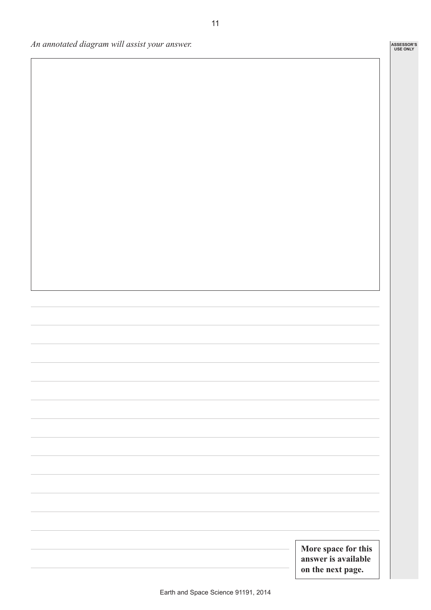*An annotated diagram will assist your answer.*

11

**More space for this answer is available on the next page.**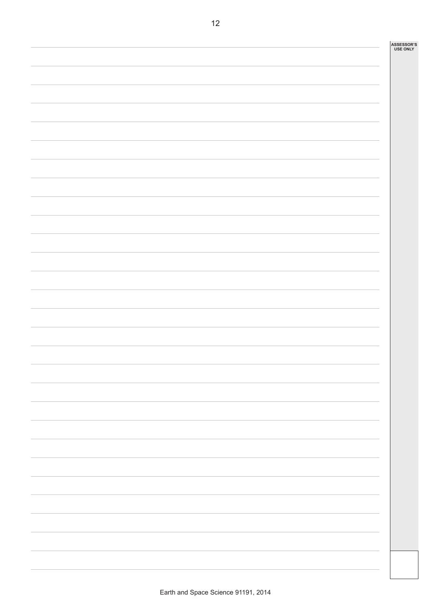|  |  | ASSESSOR'S<br>USE ONLY |
|--|--|------------------------|
|  |  |                        |
|  |  |                        |
|  |  |                        |
|  |  |                        |
|  |  |                        |
|  |  |                        |
|  |  |                        |
|  |  |                        |
|  |  |                        |
|  |  |                        |
|  |  |                        |
|  |  |                        |
|  |  |                        |
|  |  |                        |
|  |  |                        |
|  |  |                        |
|  |  |                        |
|  |  |                        |
|  |  |                        |
|  |  |                        |
|  |  |                        |
|  |  |                        |
|  |  |                        |
|  |  |                        |
|  |  |                        |
|  |  |                        |
|  |  |                        |
|  |  |                        |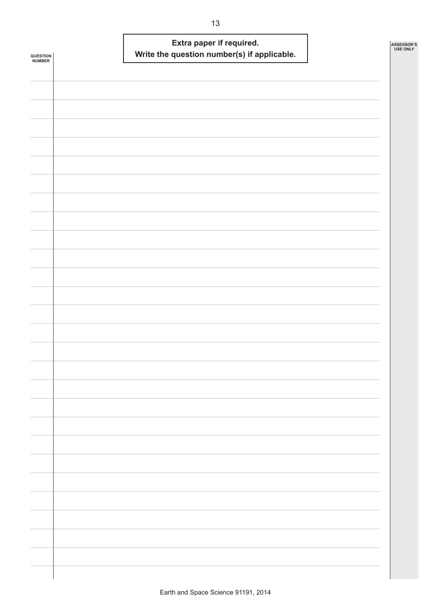|                            |  |                                             | Extra paper if required. |  | ASSESSOR'S<br><b>USE ONLY</b> |
|----------------------------|--|---------------------------------------------|--------------------------|--|-------------------------------|
| <b>QUESTION<br/>NUMBER</b> |  | Write the question number(s) if applicable. |                          |  |                               |
|                            |  |                                             |                          |  |                               |
|                            |  |                                             |                          |  |                               |
|                            |  |                                             |                          |  |                               |
|                            |  |                                             |                          |  |                               |
|                            |  |                                             |                          |  |                               |
|                            |  |                                             |                          |  |                               |
|                            |  |                                             |                          |  |                               |
|                            |  |                                             |                          |  |                               |
|                            |  |                                             |                          |  |                               |
|                            |  |                                             |                          |  |                               |
|                            |  |                                             |                          |  |                               |
|                            |  |                                             |                          |  |                               |
|                            |  |                                             |                          |  |                               |
|                            |  |                                             |                          |  |                               |
|                            |  |                                             |                          |  |                               |
|                            |  |                                             |                          |  |                               |
|                            |  |                                             |                          |  |                               |
|                            |  |                                             |                          |  |                               |
|                            |  |                                             |                          |  |                               |
|                            |  |                                             |                          |  |                               |
|                            |  |                                             |                          |  |                               |
|                            |  |                                             |                          |  |                               |
|                            |  |                                             |                          |  |                               |
|                            |  |                                             |                          |  |                               |
|                            |  |                                             |                          |  |                               |
|                            |  |                                             |                          |  |                               |
|                            |  |                                             |                          |  |                               |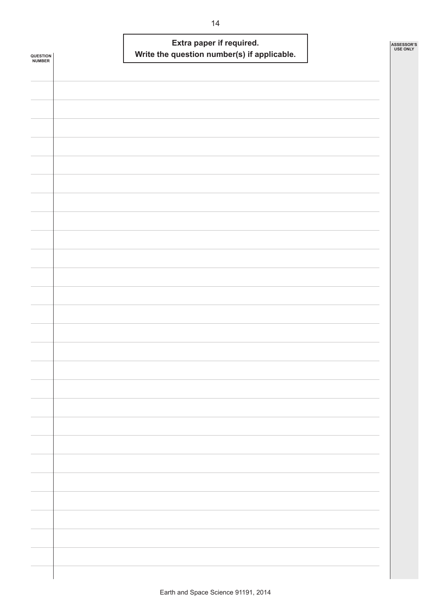| <b>QUESTION<br/>NUMBER</b> | Extra paper if required.<br>Write the question number(s) if applicable. | ASSESSOR'S | <b>USE ONLY</b> |
|----------------------------|-------------------------------------------------------------------------|------------|-----------------|
|                            |                                                                         |            |                 |
|                            |                                                                         |            |                 |
|                            |                                                                         |            |                 |
|                            |                                                                         |            |                 |
|                            |                                                                         |            |                 |
|                            |                                                                         |            |                 |
|                            |                                                                         |            |                 |
|                            |                                                                         |            |                 |
|                            |                                                                         |            |                 |
|                            |                                                                         |            |                 |
|                            |                                                                         |            |                 |
|                            |                                                                         |            |                 |
|                            |                                                                         |            |                 |
|                            |                                                                         |            |                 |